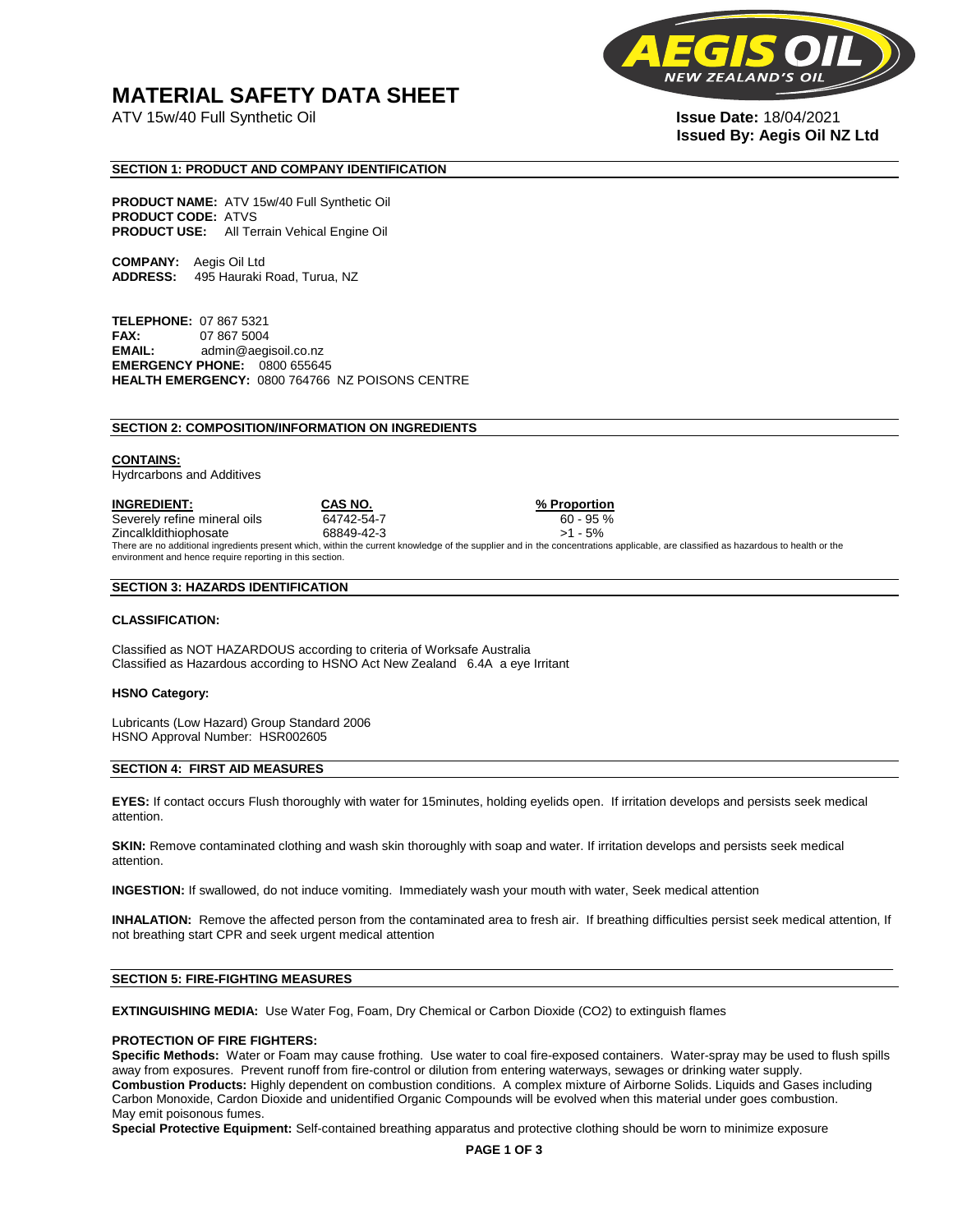## **MATERIAL SAFETY DATA SHEET**

ATV 15w/40 Full Synthetic Oil **Issue Date:** 18/04/2021



# **Issued By: Aegis Oil NZ Ltd**

#### **SECTION 1: PRODUCT AND COMPANY IDENTIFICATION**

**PRODUCT NAME:** ATV 15w/40 Full Synthetic Oil **PRODUCT CODE:** ATVS **PRODUCT USE:** All Terrain Vehical Engine Oil

**COMPANY:** Aegis Oil Ltd **ADDRESS:** 495 Hauraki Road, Turua, NZ

**TELEPHONE:** 07 867 5321 **FAX:** 07 867 5004 **EMAIL:** admin@aegisoil.co.nz **EMERGENCY PHONE:** 0800 655645 **HEALTH EMERGENCY:** 0800 764766 NZ POISONS CENTRE

#### **SECTION 2: COMPOSITION/INFORMATION ON INGREDIENTS**

#### **CONTAINS:**

Hydrcarbons and Additives

**INGREDIENT: CAS NO. % Proportion**  Severely refine mineral oils 64742-54-7 60 - 95 % Zincalkldithiophosate 68849-42-3 >1 - 5% There are no additional ingredients present which, within the current knowledge of the supplier and in the concentrations applicable, are classified as hazardous to health or the environment and hence require reporting in this section.

#### **SECTION 3: HAZARDS IDENTIFICATION**

#### **CLASSIFICATION:**

Classified as NOT HAZARDOUS according to criteria of Worksafe Australia Classified as Hazardous according to HSNO Act New Zealand 6.4A a eye Irritant

#### **HSNO Category:**

Lubricants (Low Hazard) Group Standard 2006 HSNO Approval Number: HSR002605

#### **SECTION 4: FIRST AID MEASURES**

**EYES:** If contact occurs Flush thoroughly with water for 15minutes, holding eyelids open. If irritation develops and persists seek medical attention.

**SKIN:** Remove contaminated clothing and wash skin thoroughly with soap and water. If irritation develops and persists seek medical attention.

**INGESTION:** If swallowed, do not induce vomiting. Immediately wash your mouth with water, Seek medical attention

**INHALATION:** Remove the affected person from the contaminated area to fresh air. If breathing difficulties persist seek medical attention, If not breathing start CPR and seek urgent medical attention

#### **SECTION 5: FIRE-FIGHTING MEASURES**

**EXTINGUISHING MEDIA:** Use Water Fog, Foam, Dry Chemical or Carbon Dioxide (CO2) to extinguish flames

#### **PROTECTION OF FIRE FIGHTERS:**

**Specific Methods:** Water or Foam may cause frothing. Use water to coal fire-exposed containers. Water-spray may be used to flush spills away from exposures. Prevent runoff from fire-control or dilution from entering waterways, sewages or drinking water supply. **Combustion Products:** Highly dependent on combustion conditions. A complex mixture of Airborne Solids. Liquids and Gases including Carbon Monoxide, Cardon Dioxide and unidentified Organic Compounds will be evolved when this material under goes combustion. May emit poisonous fumes.

**Special Protective Equipment:** Self-contained breathing apparatus and protective clothing should be worn to minimize exposure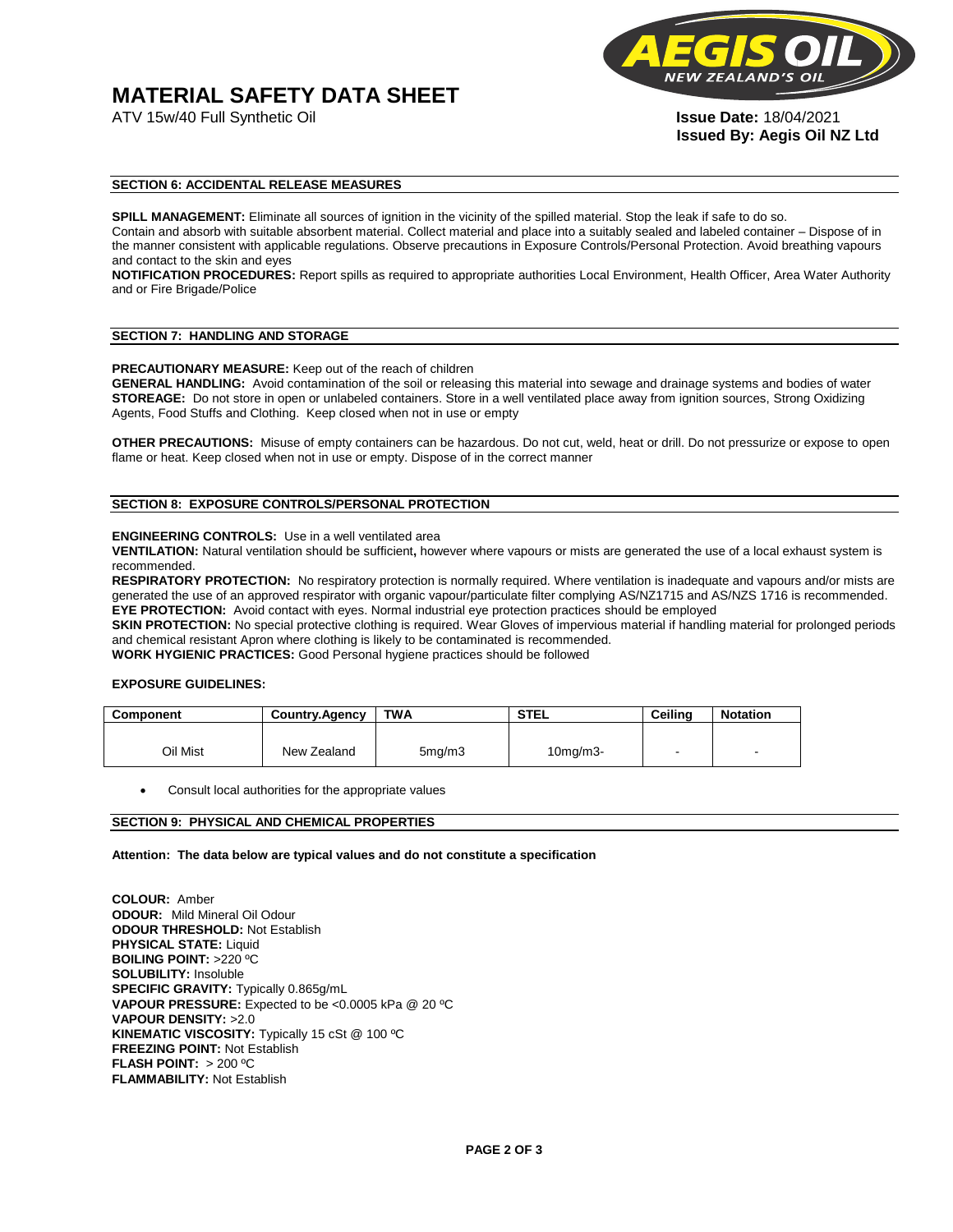# **MATERIAL SAFETY DATA SHEET**



**Issued By: Aegis Oil NZ Ltd** 

#### **SECTION 6: ACCIDENTAL RELEASE MEASURES**

**SPILL MANAGEMENT:** Eliminate all sources of ignition in the vicinity of the spilled material. Stop the leak if safe to do so. Contain and absorb with suitable absorbent material. Collect material and place into a suitably sealed and labeled container – Dispose of in the manner consistent with applicable regulations. Observe precautions in Exposure Controls/Personal Protection. Avoid breathing vapours and contact to the skin and eyes

**NOTIFICATION PROCEDURES:** Report spills as required to appropriate authorities Local Environment, Health Officer, Area Water Authority and or Fire Brigade/Police

#### **SECTION 7: HANDLING AND STORAGE**

**PRECAUTIONARY MEASURE:** Keep out of the reach of children

**GENERAL HANDLING:** Avoid contamination of the soil or releasing this material into sewage and drainage systems and bodies of water **STOREAGE:** Do not store in open or unlabeled containers. Store in a well ventilated place away from ignition sources, Strong Oxidizing Agents, Food Stuffs and Clothing. Keep closed when not in use or empty

**OTHER PRECAUTIONS:** Misuse of empty containers can be hazardous. Do not cut, weld, heat or drill. Do not pressurize or expose to open flame or heat. Keep closed when not in use or empty. Dispose of in the correct manner

#### **SECTION 8: EXPOSURE CONTROLS/PERSONAL PROTECTION**

#### **ENGINEERING CONTROLS:** Use in a well ventilated area

**VENTILATION:** Natural ventilation should be sufficient**,** however where vapours or mists are generated the use of a local exhaust system is recommended.

**RESPIRATORY PROTECTION:** No respiratory protection is normally required. Where ventilation is inadequate and vapours and/or mists are generated the use of an approved respirator with organic vapour/particulate filter complying AS/NZ1715 and AS/NZS 1716 is recommended. **EYE PROTECTION:** Avoid contact with eyes. Normal industrial eye protection practices should be employed

**SKIN PROTECTION:** No special protective clothing is required. Wear Gloves of impervious material if handling material for prolonged periods and chemical resistant Apron where clothing is likely to be contaminated is recommended.

**WORK HYGIENIC PRACTICES:** Good Personal hygiene practices should be followed

#### **EXPOSURE GUIDELINES:**

| <b>Component</b> | <b>Country.Agency</b> | <b>TWA</b>          | <b>STEL</b>    | Ceilina | <b>Notation</b>          |
|------------------|-----------------------|---------------------|----------------|---------|--------------------------|
|                  |                       |                     |                |         |                          |
| Oil Mist         | New Zealand           | 5 <sub>mq</sub> /m3 | $10$ mg/m $3-$ |         | $\overline{\phantom{a}}$ |

Consult local authorities for the appropriate values

#### **SECTION 9: PHYSICAL AND CHEMICAL PROPERTIES**

**Attention: The data below are typical values and do not constitute a specification** 

**COLOUR:** Amber **ODOUR:** Mild Mineral Oil Odour **ODOUR THRESHOLD:** Not Establish **PHYSICAL STATE:** Liquid **BOILING POINT:** >220 ºC **SOLUBILITY:** Insoluble **SPECIFIC GRAVITY:** Typically 0.865g/mL **VAPOUR PRESSURE:** Expected to be <0.0005 kPa @ 20 ºC **VAPOUR DENSITY:** >2.0 **KINEMATIC VISCOSITY:** Typically 15 cSt @ 100 ºC **FREEZING POINT: Not Establish FLASH POINT:** > 200 ºC **FLAMMABILITY:** Not Establish